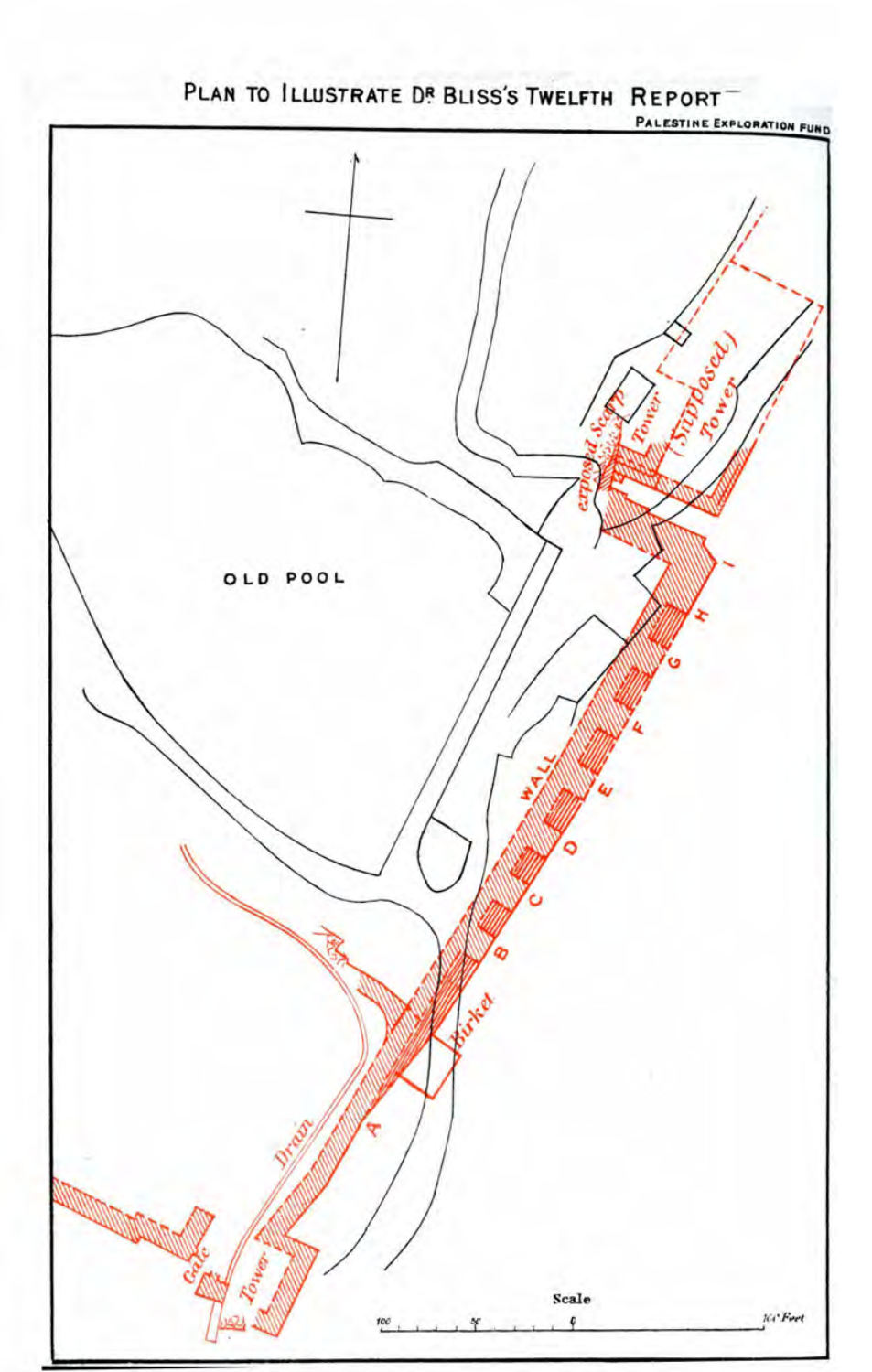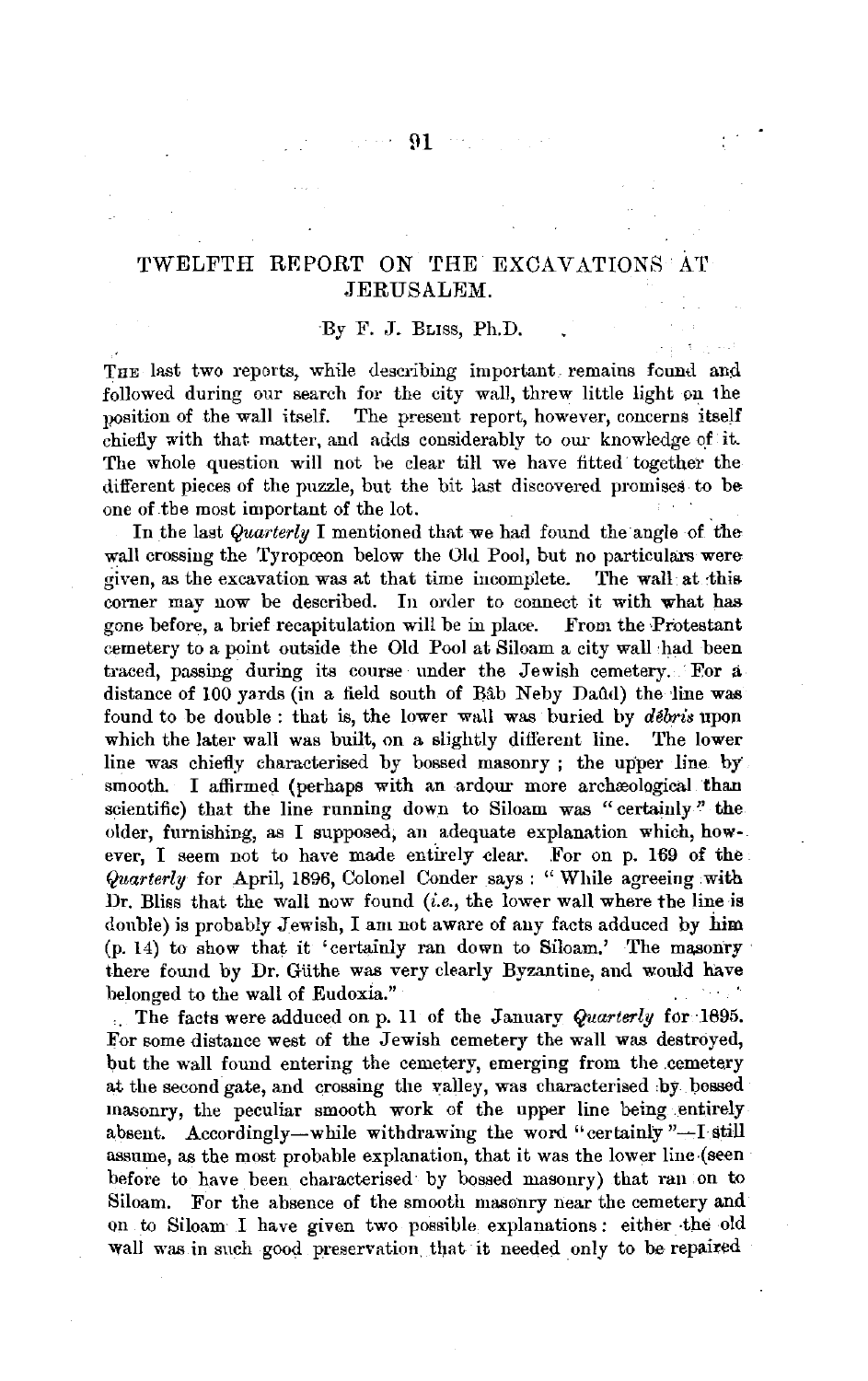## TWELFTH REPORT ON THE EXCAVATIONS AT JERUSALEM.

## ·By F. J. BLISS, Ph.D.

THE last two reports, while describing important remains found and followed during our search for the city wall, threw little light on the position of the wall itself. The present report, however, concerns itself chiefly with that matter, and adds considerably to our knowledge qf it. The whole question will not he clear till we have fitted together the different pieces of the puzzle, but the bit last discovered promises to be one of .tbe most important of the lot.

In the last *Quarterly* I mentioned that we had found the angle of the wall crossing the Tyropœon below the Old Pool, but no particulars were<br>given, as the excavation was at that time incomplete. The wall at this given, as the excavation was at that time incomplete. corner may now be described. In order to connect it with what has gone before, a brief recapitulation will be in place. From the Protestant cemetery to a point outside the Old Pool at Siloam a city wall had been traced, passing during its course under the Jewish cemetery. For a distance of 100 yards (in a field south of Bab Neby Daud) the line was found to be double : that is, the lower wall was buried by *débris* upon which the later wall was built, on a slightly different line. The lower line was chiefly characterised by bossed masonry ; the upper line by smooth. I affirmed (perhaps with an ardour more archaeological than scientific) that the line running down to Siloam was "certainly" the older, furnishing, as I supposed, an adequate explanation which, however, I seem not to have made entirely clear. For on p. 169 of the *Quarterly* for April, 1896, Colonel Conder says : " While agreeing .with Dr. Bliss that the wall now found *(i.e.,* the lower wall where the line is double) is probably Jewish. I am not aware of any facts adduced by him (p. 14) to show that it 'certainly ran down to Siloam.' The masonry· there found by Dr. Güthe was very clearly Byzantine, and would have belonged to the wall of Eudoxia."

. . The facts were adduced on p. 11 of the January *Quarterly* for ·1895. For some distance west of the Jewish cemetery the wall was destroyed, but the wall found entering the cemetery, emerging from the .cemetery at the second gate, and crossing the valley, was characterised by bossed masonry, the peculiar smooth work of the upper line being .entirely absent. Accordingly-while withdrawing the word "certainly "-I still assume, as the most probable explanation, that it was the lower line-(seenbefore to have been characterised by bossed masonry) that ran on to Siloam. For the absence of the smooth masonry near the cemetery and on to Siloam I have given two possible explanations: either -the old wall was in such good preservation that it needed only to be repaired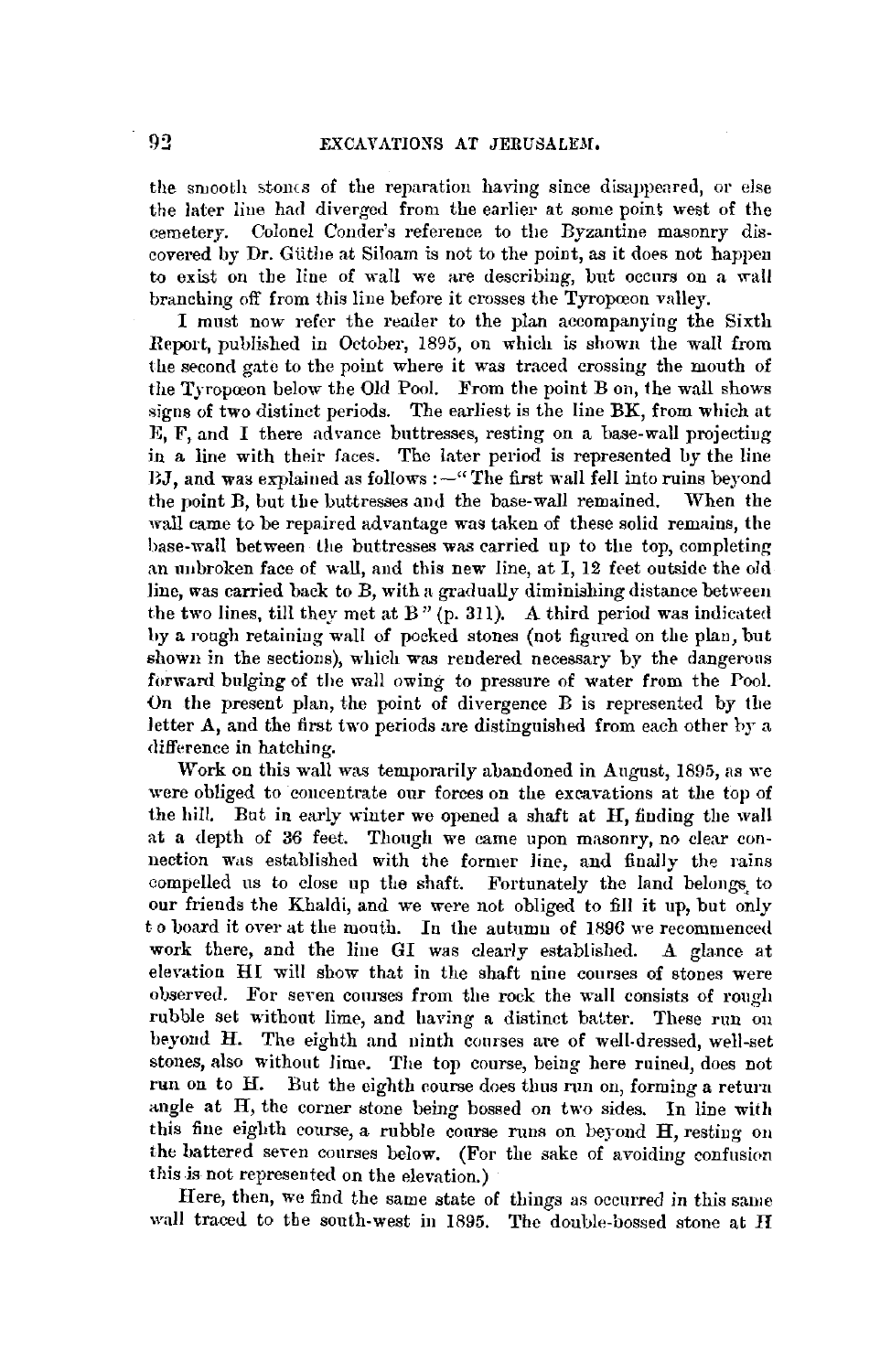the smooth stones of the reparation having since disappeared, or else the later line had diverged from the earlier at some point west of the cemetery. Colonel Conder's reference to the Byzantine masonry discovered by Dr. Giithe at Siloam is not to the point, as it does not happen to exist on the line of wall we are describing, but occurs on a wall branching off from this line before it crosses the Tyropoeon valley.

I must now refer the reader to the plan accompanying the Sixth Report, published in October, 1895, on which is shown the wall from the second gate to the point where it was traced crossing the mouth of the Tyropoeon below the Old Pool. From the point B on, the wall shows signs of two distinct periods. The earliest is the line BK, from which at E, **F,** and I there advance buttresses, resting on a base-wall projectiug in a line with their faces. The later period is represented by the line  $BJ$ , and was explained as follows : $-$ "The first wall fell into ruins beyond the noint  $B$ , but the buttresses and the base-wall remained. When the the point B, but the buttresses and the base-wall remained. wall came to be repaired advantage was taken of these solid remains, the base-wall between the buttresses was carried up to the top, completing an uubroken face of wall, and this new line, at I, 12 foet outside the old line, was carried back to B, with a gradually diminishing distance between the two lines, till they met at B" (p. 311). A third period was indicated hy a rough retaining wall of pocked stones (not figured on the plan, but shown in the sections), which was rendered necessary by the dangerous forward bulging of the wall owing to pressure of water from the Pool. On the present plan, the point of divergence  $B$  is represented by the letter A, and the first two periods are distinguished from each other hy a difference in hatching.

Work on this wall was temporarily abandoned in August, 1895, as we were obliged to concentrate our forces on the excavations at the top of the hill. But in early winter we opened a shaft at H, finding the wall at a depth of 36 feet. Though we came upon masonry, no clear connection was established with the former line, and finally the rains compelled us to close up the shaft. Fortunately the land belongs, to our friends the Khaldi, and we were not obliged to fill it up, but only to board it over at the mouth. In the autumn of 1896 we recommenced work there, and the line GI was clearly established. A glance at elevation HI will show that in the shaft nine courses of stones were observed. For seven courses from the rock the wall consists of rough rubble set without lime, and having a distinct batter. These run on heyond H. The eighth and ninth courses are of well-dressed, well-set stones, also without lime. The top course, being here ruined, does not run on to H. But the eighth course does thus run on, forming a return angle at H, the corner stone being bossed on two sides. In line with this fine eighth course, a rubble course runs on beyond H, resting ou the battered seven courses below. (For the sake of avoiding confusion this is not represented on the elevation.)

Here, then, we find the same state of things as occurred in this same wall traced to the south-west in 1895. The double-bossed stone at **H**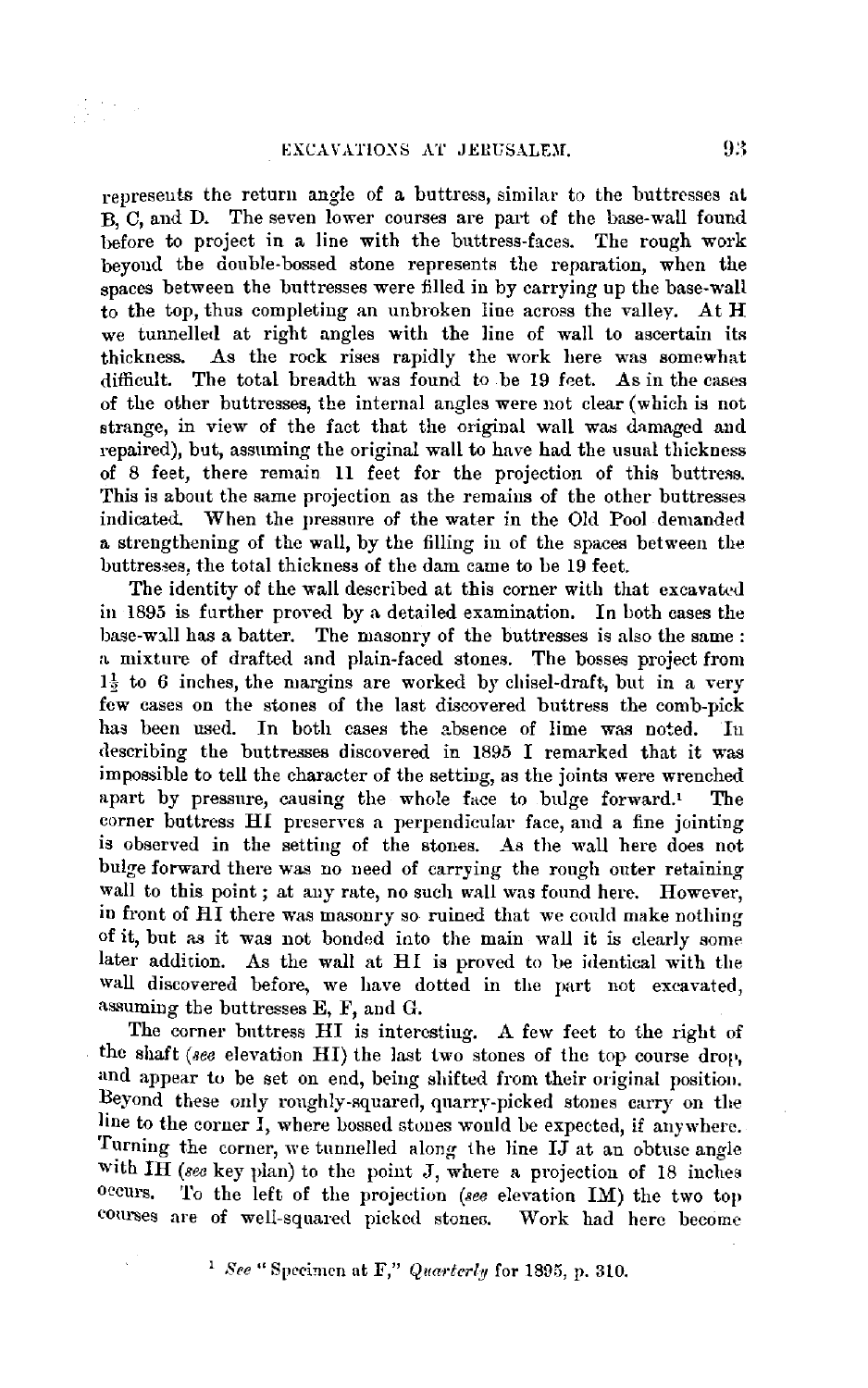$\frac{1}{2} \sum_{i=1}^{n} \frac{1}{2} \sum_{j=1}^{n} \frac{1}{2} \sum_{j=1}^{n} \frac{1}{2} \sum_{j=1}^{n} \frac{1}{2} \sum_{j=1}^{n} \frac{1}{2} \sum_{j=1}^{n} \frac{1}{2} \sum_{j=1}^{n} \frac{1}{2} \sum_{j=1}^{n} \frac{1}{2} \sum_{j=1}^{n} \frac{1}{2} \sum_{j=1}^{n} \frac{1}{2} \sum_{j=1}^{n} \frac{1}{2} \sum_{j=1}^{n} \frac{1}{2} \sum_{j=1}^{n$ 

represents the return angle of a buttress, similar to the buttresses at B, C, and D. The seven lower courses are part of the base-wall found before to project in a line with the buttress-faces. The rough work beyond the double-bossed stone represents the reparation, when the spaces between the buttresses were filled in by carrying up the base-wall to the top, thus completing an unbroken line across the valley. At  $H$ we tunnelled at right angles with the line of wall to ascertain its thickness. As the rock rises rapidly the work here was somewhat difficult. The total breadth was found to be 19 foet. As in the cases of the other buttresses, the internal angles were not clear (which is not strange, in view of the fact that the original wall was damaged and repaired), but, assuming the original wall to have had the usual thickness of 8 feet, there remain 11 feet for the projection of this buttress. This is about the same projection as the remains of the other buttresses indicated. When the pressure of the water in the Old Pool demanded a strengthening of the wall, by the filling in of the spaces between the buttresses, the total thickness of the dam came to be 19 feet.

The identity of the wall described at this corner with that excavated in 1895 is further proved by a detailed examination. In both cases the base-wall has a batter. The masonry of the buttresses is also the same: a mixture of drafted and plain-faced stones. The bosses project from  $1\frac{1}{2}$  to 6 inches, the margins are worked by chisel-draft, but in a very few cases on the stones of the last discovered buttress the comb-pick has been used. In both cases the absence of lime was noted. In describing the buttresses discovered in 1895 I remarked that it was impossible to tell the character of the setting, as the joints were wrenched apart by pressure, causing the whole face to bulge forward.' The corner buttress HI preserves a perpendicular face, and a fine jointing is observed in the setting of the stones. As the wall here does not bulge forward there was no need of carrying the rough outer retaining wall to this point; at any rate, no such wall was found here. However, in front of HI there was masonry so ruined that we could make nothing of it, but as it was not bonded into the main wall it is clearly some later addition. As the wall at HI is proved to be identical with the wall discovered before, we have dotted in the part not excavated, assuming the buttresses E,  $F$ , and G.

The corner buttress HI is interesting. A few feet to the right of the shaft *(see* elevation HI) the last two stones of the top course drop, and appear to be set on end, being shifted from their original position. Beyond these only roughly-squared, quarry-picked stones carry on the line to the corner I, where bossed stones would be expected, if anywhere. Turning the corner, we tunnelled along the line  $I\bar{J}$  at an obtuse angle with  $I\overline{H}$  *(see key plan)* to the point J, where a projection of 18 inches occurs. To the left of the projection *(see elevation IM)* the two top To the left of the projection (see elevation IM) the two top courses are of well-squared picked stones. Work had here become

<sup>1</sup> See " Specimen at F," *Quarterly* for 1895, p. 310.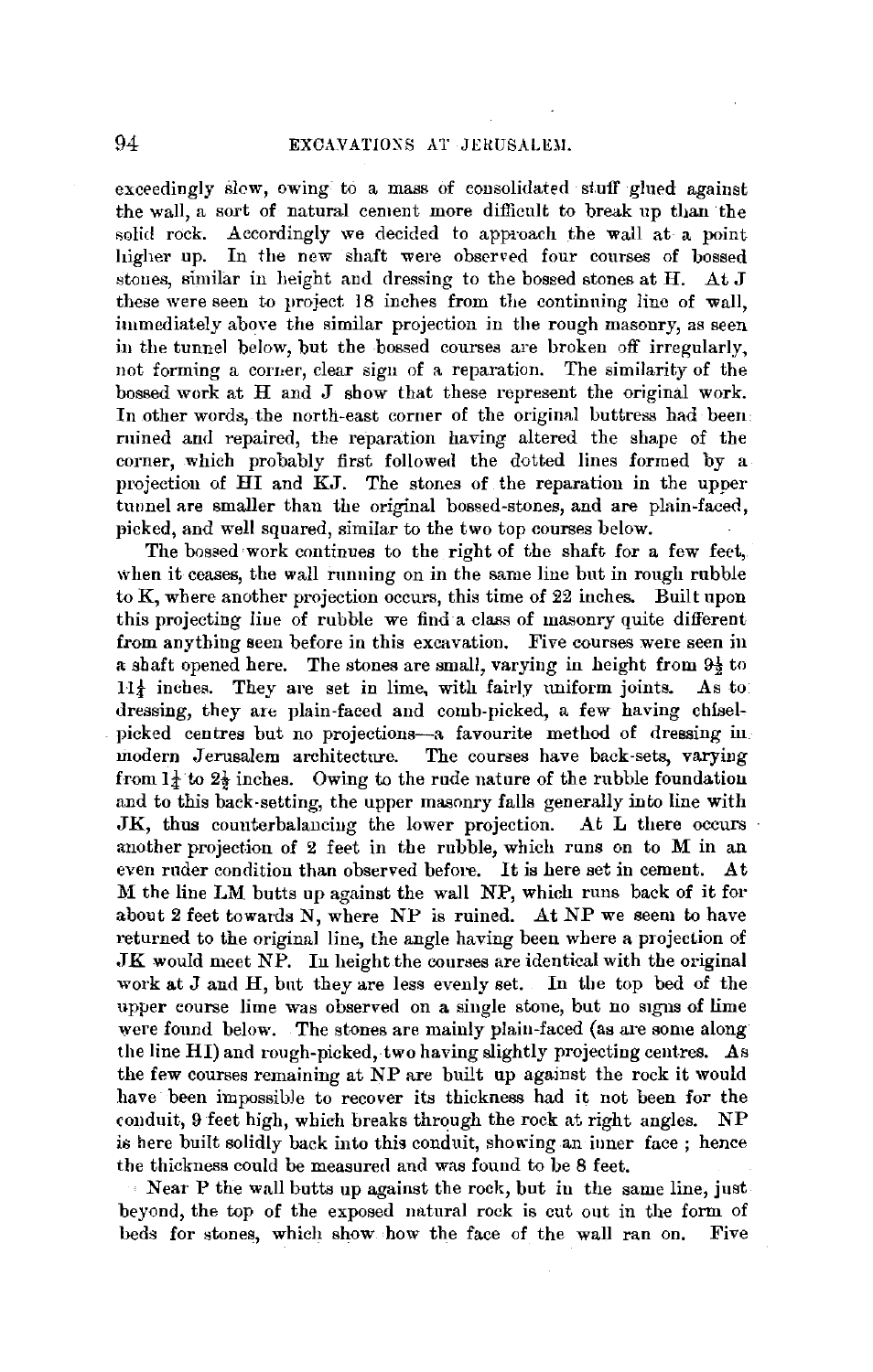exceedingly slew, owing to a mass of consolidated stuff glued against the wall, a sort of natural cement more difficult to break up than ·the solid rock. Accordingly we decided to approach the wall at a point higher up. In the new shaft were observed four courses of bossed stones, similar in height and dressing to the bossed stones at H. At J these were seen to project. 18 inches from the continuing line of wall, immediately above the similar projection in the rough masonry, as seen in the tunnel below, but the bossed courses are broken off irregularly, not forming a comer, clear sign of a reparation. The similarity of the bossed work at H and J show that these represent the original work. In other words, the north-east corner of the original buttress had been ruined and repaired, the reparation having altered the shape of the corner, which probably first followed the dotted lines formed by a projection of HI and KJ. The stones of the reparation in the upper tunnel are smaller than the original bossed-stones, and are plain-faced, picked, and well squared, similar to the two top courses below.

The bossed work continues to the right of the shaft for a few feet, when it ceases, the wall running on in the same line but in rough rubble to K, where another projection occurs, this time of 22 inches. Built upon this projecting liue of rubble we find a class of masonry quite different from anything seen before in this excavation. Five courses were seen in a shaft opened here. The stones are small, varying in height from  $9\frac{1}{2}$  to  $H_4$  inches. They are set in lime, with fairly uniform joints. As to dressing, they are plain-faced and comb-picked, a few having chiselpicked centres but no projections-a favourite method of dressing in modern Jerusalem architecture. The courses have back-sets, varying from  $1\frac{1}{4}$  to  $2\frac{1}{2}$  inches. Owing to the rude nature of the rubble foundation and to this back-setting, the upper masonry falls generally into line with JK, thus couuterbalauciug the lower projection. At L there occurs another projection of 2 feet in the rubble, which runs on to *M* in an even rnder condition than observed before. It is here set in cement. At M the line LM butts up against the wall NP, which runs back of it for about 2 feet towards N, where NP is ruined. At NP we seem to have returned to the original line, the angle having been where a projection of ,JK would meet NP. In height the courses are identical with the original work at J and H, bnt they are less evenly set. In the top bed of the upper course lime was observed on a single stone, but no signs of lime were found below. The stones are mainly plain-faced (as are some along the line HI) and rough-picked, two having slightly projecting centres. As the few courses remaining at NP are built up against the rock it would have been impossible to recover its thickness had it not been for the conduit, 9 feet high, which breaks through the rock at right angles. NP is here built solidly back into this conduit, showing an inner face; hence the thickness could be measured and was found to be 8 feet.

Near P the wall butts up against the rock, but in the same line, just beyond, the top of the exposed natural rock is cut out in the form of beds for stones, which show how the face of the wall ran on. Five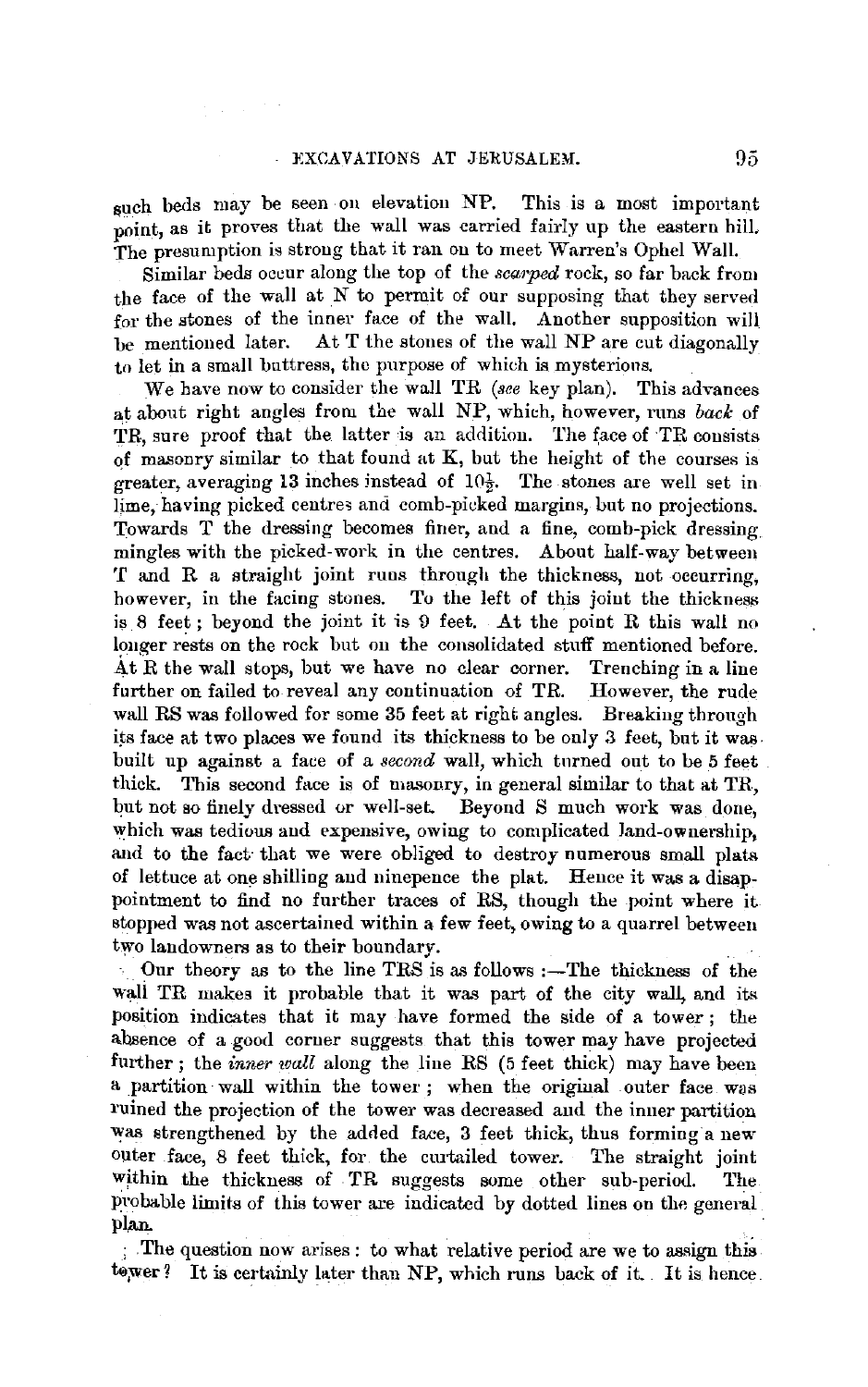such beds may be seen on elevation NP. This is a most important point, as it proves that the wall was carried fairly up the eastern hilL The presumption is strong that it ran on to meet Warren's Ophel Wall.

Similar beds occur along the top of the *scarped* rock, so far back from the face of the wall at *N* to permit of our supposing that they served for the stones of the inner face of the wall. Another supposition will be mentioned later. At  $T$  the stones of the wall NP are cut diagonally At T the stones of the wall NP are cut diagonally to let in a small buttress, the purpose of which is mysterions.

We have now to consider the wall TR *(see* key plan). This advances at about right angles from the wall NP, which, however, nms *back* of TR, sure proof that the latter is an addition. The face of TR consists of masonry similar to that found at  $K$ , but the height of the courses is greater, averaging 13 inches instead of  $10\frac{1}{2}$ . The stones are well set in lime, having picked centres and comb-picked margins, but no projections. Towards T the dressing becomes finer, and a fine, comb-pick dressing mingles with the picked-work in the centres. About half-way between 'f and R a straight joint runs through the thickness, not, occurring, however, in the facing stones. To the left of this joint the thickness is  $8$  feet; beyond the joint it is  $9$  feet. At the point  $R$  this wall no longer rests on the rock but on the consolidated stuff mentioned before. At  $R$  the wall stops, but we have no clear corner. Trenching in a line further on failed to reveal any continuation of TR. However, the rude wall RS was followed for some 35 feet at right angles. Breaking through its face at two places we found its thickness to be only 3 feet, but it was. built up against a face of a *second* wall, which tnrned out to be 5 feet thick. This second face is of masonry, in general similar to that at TR, but not so finely dressed or well-set. Beyond S much work was done, which was tedious and expensive, owing to complicated land-ownership, and to the fact· that we were obliged to destroy numerous small plats of lettuce at one shilling aud ninepence the plat. Hence it was a disappointment to find no further traces of RS, though the point where it stopped was not ascertained within a few feet, owing to a quarrel between two landowners as to their boundary.

Our theory as to the line TRS is as follows :-The thickness of the wall TR makes it probable that it was part of the city wall, and its position indicates that it may have formed the side of a tower ; the absence of a good corner suggests that this tower may have projected further; the *inner wall* along the line RS (5 feet thick) may have been a partition wall within the tower ; when the original outer face was l'uined the projection of the tower was decreased and the inner partition was strengthened by the added face, 3 feet thick, thus forming a new outer face, 8 feet thick, for the curtailed tower. The straight joint within the thickness of TR suggests some other sub-period. The probable limits of this tower are indicated by dotted lines on the general plan.

; The question now arises: to what relative period are we to assign this tower? It is certainly later than NP, which runs back of it. It is hence.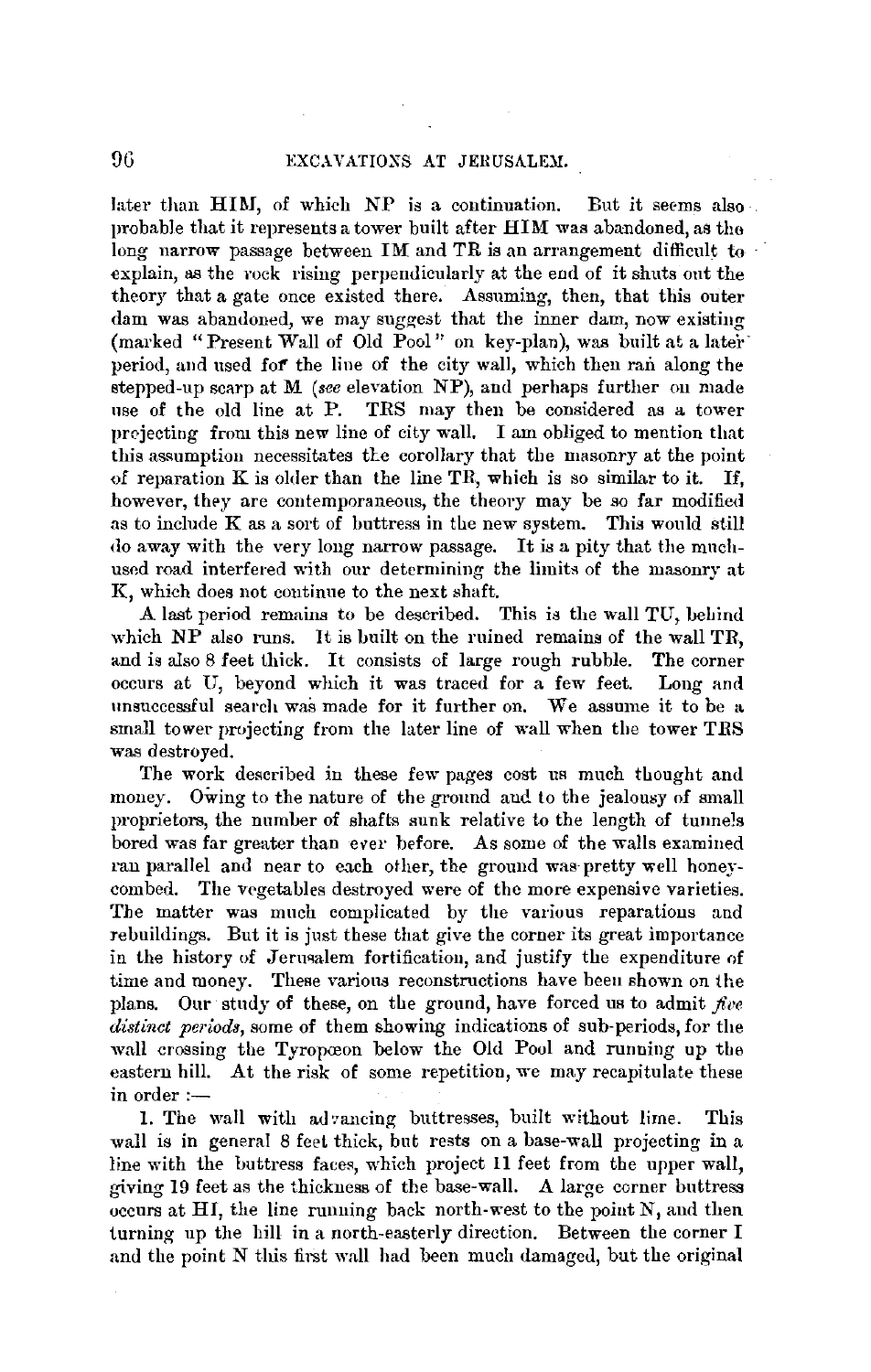later than HIM, of which  $NP$  is a continuation. But it seems also probable that it represents a tower built after **HIM** was abandoned, as tho long narrow passage between **IM** and **TR** is an arrangement difficult to explain, as the rock rising perpendicularly at the end of it shuts out the theory that a gate once existed there. Assuming, then, that this outer dam was abandoned, we may suggest that the inner dam, now existiug (marked "Present Wall of Old Pool" on key-plan), was built at a later· period, and used **fof'** the line of the city wall, which then ran along the stepped-up scarp at **M** *(see* elevation NP), and perhaps further ou made use of the old line at P. TRS may then be considered as a tower projecting from this new line of city wall. I am obliged to mention that this assumption necessitates the corollary that the masonry at the point of reparation  $K$  is older than the line  $TR$ , which is so similar to it. If, however, they are contemporaneous, the theory may be so far modified as to include  $K$  as a sort of buttress in the new system. This would still do away with the very long narrow passage. It is a pity that the mnchused road interfered with our determining the limits of the masonry at K, which does not continue to the next shaft.

A last period remains to be described. This is the wall TU, beliind which NP also runs. It is built on the ruined remains of the wall TR, and is also 8 feet thick. It consists of large rough rubble. The corner occurs at U, beyond which it was traced for a few feet. Long and unsuccessful search was made for it further on. We assume it to be a small tower projecting from the later line of wall when the tower TRS was destroyed.

The work described in these few pages cost us much thought and money. Owing to the nature of the ground and to the jealousy of small proprietors, the number of shafts sunk relative to the length of tunnels bored was far greater than ever before. As some of the walls examined ran parallel and near to each other, the ground was-pretty well honeycombed. The vegetables destroyed were of the more expensive varieties. The matter was much complicated by the various reparations and rebuildings. But it is just these that give the corner its great importance in the history of Jerusalem fortification, and justify the expenditure of time and money. These various reconstructions have been shown on the plans. Our study of these, on the ground, have forced us to admit  $five$ *distinct periods,* some of them showing indications of sub-periods, for the wall crossing the Tyropæon below the Old Pool and running up the eastern hill. At the risk of some repetition, we may recapitulate these in order: $-$ 

1. The wall with advancing buttresses, built without lime. This wall is in general 8 feet thick, but rests on a base-wall projecting in a line with the buttress faces, which project 11 feet from the upper wall, giving 19 feet as the thickness of the base-wall. A large corner buttress occurs at HI, the line running back north-west to the point  $N$ , and then turning up the hill in a north-easterly direction. Between the corner I and the point N this first wall had been much damaged, but the original

96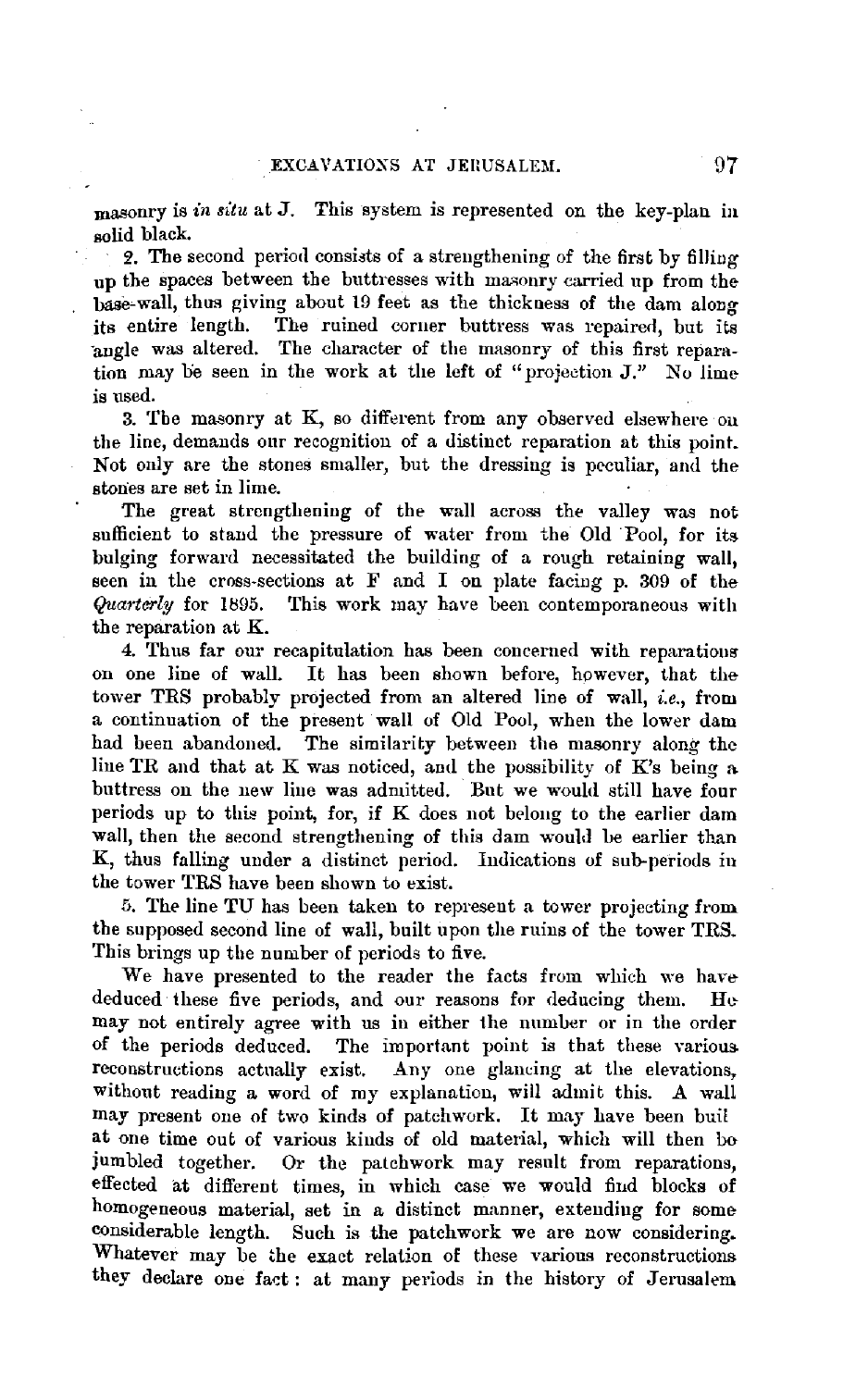masonry is *in situ* at *3.* This system is represented on the key-plan in solid black.

2. The second period consists of a strengthening of the first by filling up the spaces between the buttresses with masonry carried up from the hase-wall, thus giving about 19 feet as the thickness of the dam along its entire length. The ruined corner buttress was repaired, but its angle was altered. The character of the masonry of this first reparation may be seen in the work at the left of "projection  $J$ ." No lime is used.

3. The masonry at K, so different from any observed elsewhere on the line, demands our recognition of a distinct reparation at this point. Not only are the stones smaller, but the dressing is peculiar, and the stones are set in lime.

The great strengthening of the wall across the valley was not sufficient to stand the pressure of water from the Old Pool, for its bulging forward necessitated the building of a rough retaining wall, seen in the cross-sections at F and I on plate facing p. 309 of the *Quarterly* for 1895. This work may have been contemporaneous with the reparation at K.

4. Thus far our recapitulation has been concerned with reparations on one line of wall. It has been shown before, however, that the tower TRS probably projected from an altered line of wall, *i.e.,* from a continuation of the present wall of Old Pool, when the lower dam had been abandoned. The similarity between the masonry along the line TR and that at K was noticed, and the possibility of  $K$ 's being a buttress on the new line was admitted. But we would still have four periods up to this point, for, if  $K$  does not belong to the earlier dam wall, then the second strengthening of this dam would be earlier than K, thus falling under a distinct period. Indications of sub-periods in the tower TRS have been shown to exist.

5. The line TU has been taken to represent a tower projecting from the supposed second line of wall, built upon the ruins of the tower TRS. This brings up the number of periods to five.

We have presented to the reader the facts from which we have deduced these five periods, and our reasons for deducing them. Hemay not entirely agree with us in either the number or in the order of the periods deduced. The important point is that these various. reconstructions actually exist. Any one glancing at the elevations, without reading a word of my explanation, will admit this. A wall may present one of two kinds of patchwork. It may have been buil at one time out of various kinds of old material, which will then bo jumbled together. Or the patchwork may result from reparations, effected at different times, in which case we would find blocks of homogeneous material, set in a distinct manner, extending for some considerable length. Such is the patchwork we are now considering. Whatever may be the exact relation of these various reconstructions. they declare one fact: at many periods in the history of Jerusalem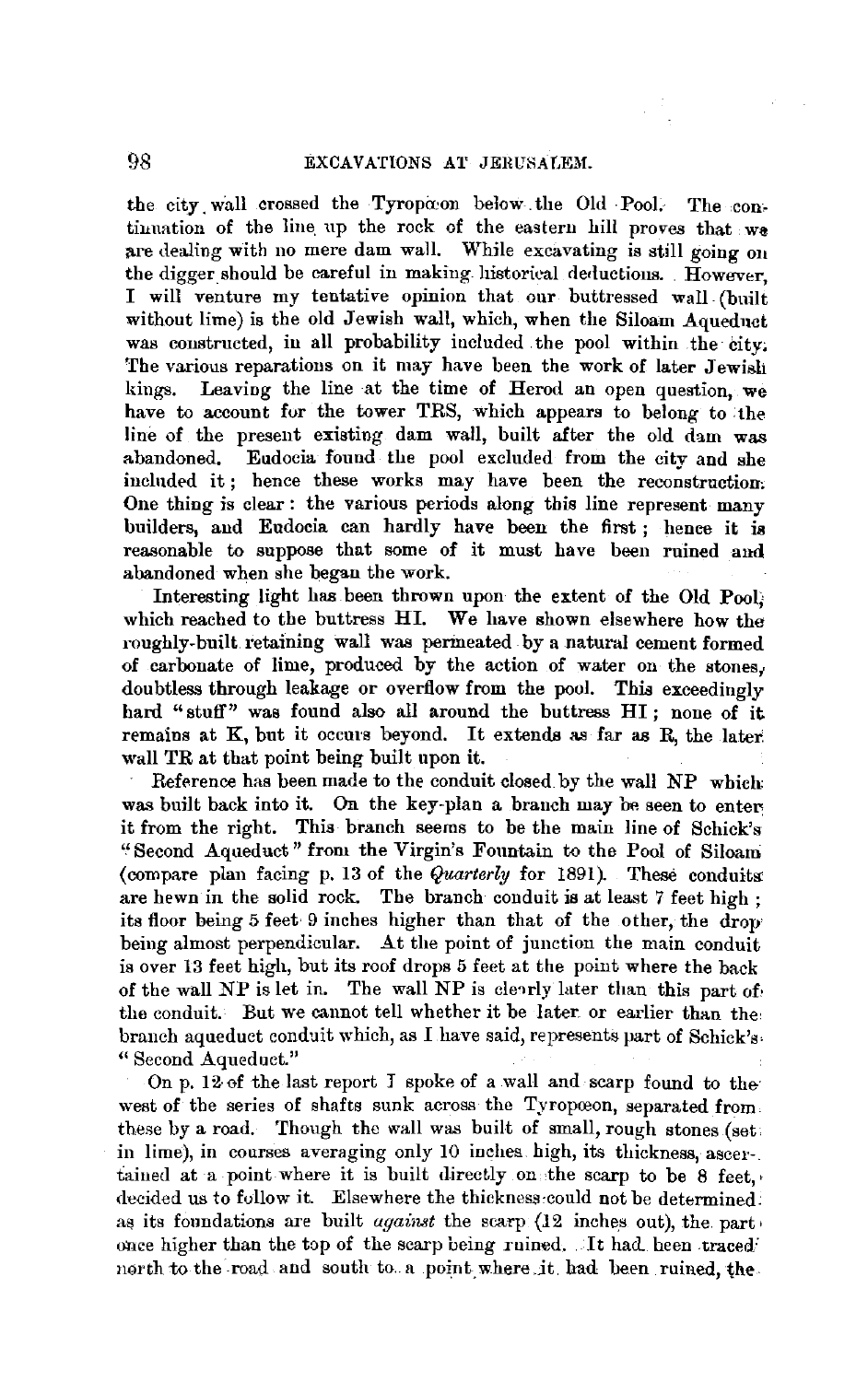the city wall crossed the Tyropaon below the Old Pool. The continuation of the line up the rock of the eastern hill proves that we are dealing with no mere dam wall. While excavating is still going on the digger should be careful in making. historical deductions. However, I will venture my tentative opinion that our buttressed wall (built without lime) is the old Jewish wall, which, when the Siloam Aqueduct was constructed, in all probability included the pool within the city; The various reparations on it may have been the work of later Jewish kings. Leaving the line at the time of Herod an open question, we have to account for the tower TRS, which appears to belong to the line of the present existing dam wall, built after the old dam was abandoned. Eudocia found the pool excluded from the city and she included it; hence these works may have been the reconstruction. One thing is clear : the various periods along this line represent many builders, and Eudocia can hardly have been the first ; hence it is reasonable to suppose that some of it must have been ruined and abandoned when she began the work.

Interesting light has been thrown upon the extent of the Old **Pool;**  which reached to the buttress HI. We have shown elsewhere how the roughly-built. retaining wall was permeated by a natural cement formed of carbonate of lime, produced by the action of water on the stones,. doubtless through leakage or overflow from the pool. This exceedingly hard "stuff" was found also all around the buttress HI; none of it remains at K, but it occurs beyond. It extends as far as R, the later. wall TR at that point being built upon it.

Reference has been made to the conduit closed by the wall NP which: was built back into it. On the key-plan a branch may be seen to enter it from the right. This branch seems to be the main line of Schick's '' Second Aqueduct" from the Virgin's Fountain to the Pool of Siloam (compare plan facing p. 13 of the *Quarterly* for 1891). These conduits: are hewn in the solid rock. The branch conduit is at least 7 feet high ; its floor being 5 feet· 9 inches higher than that of the other, the drop being almost perpendicular. At the point of junction the main conduit is over 13 feet high, but its roof drops 5 feet at the point where the back of the wall NP is let in. The wall NP is clearly later than this part of, the conduit. But we cannot tell whether it be later. or earlier than the, branch aqueduct conduit which, as I have said, represents part of Schick's, " Second Aqueduct."

On p. 12 of the last report  $I$  spoke of a wall and scarp found to the west of the series of shafts sunk across the Tyropoeon, separated from. these by a road. Though the wall was built of small, rough stones (set. in lime), in courses averaging only 10 inches. high, its thickness, ascer-. tained at a point where it is built directly on the scarp to be 8 feet. decided us to follow it. Elsewhere the thickness:could not be determined: as its foundations are built *against* the scarp (12 inches out), the part, once higher than the top of the scarp being ruined. It had heen traced north to the road and south to a point where it had been ruined, the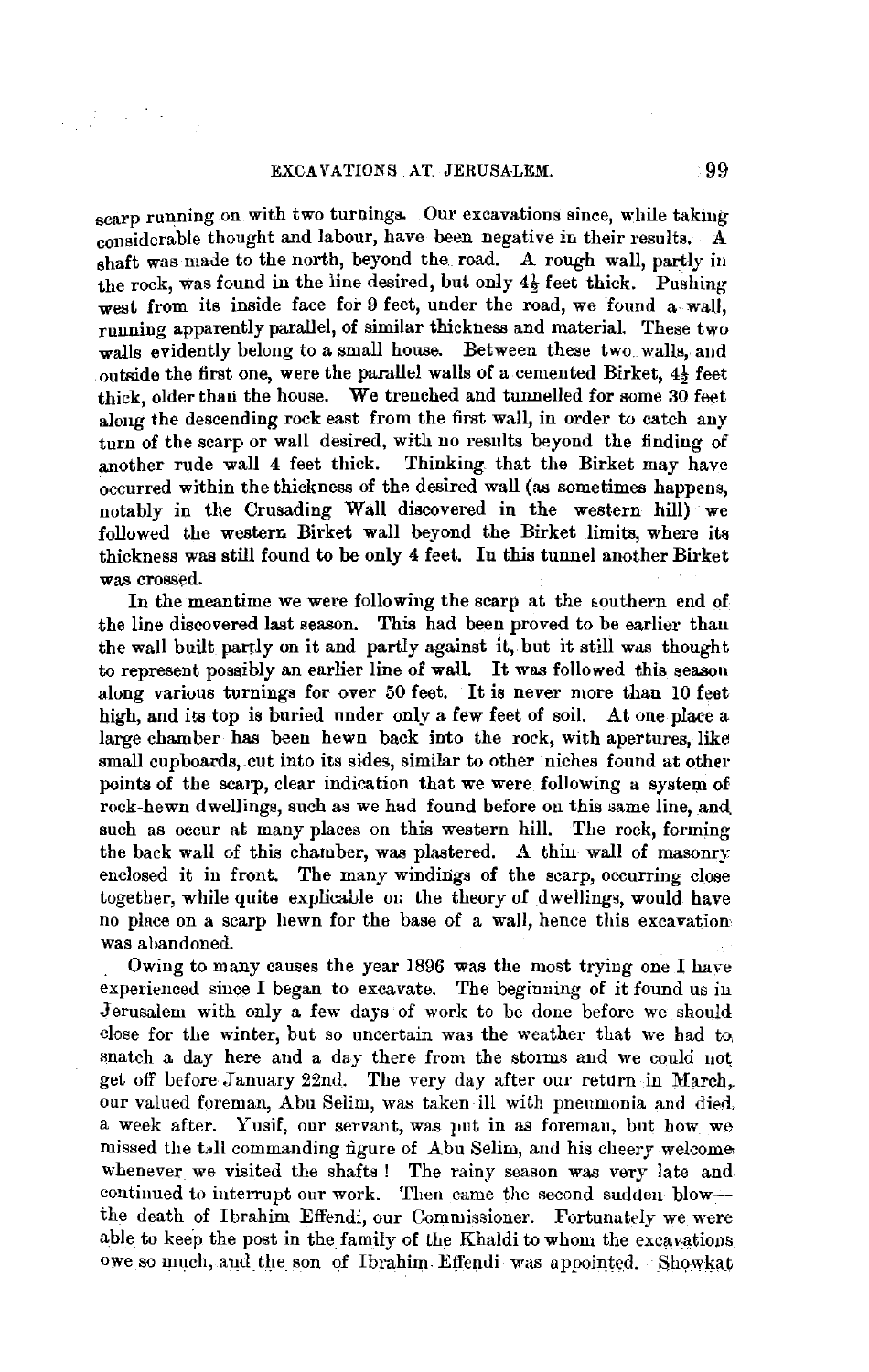scarp running on with two turnings. Our excavations since, while takiug considerable thought and labour, have been negative in their results. A shaft was made to the north, beyond the. road. A rough wall, partly in the rock, was found in the line desired, but only  $4\frac{1}{2}$  feet thick. Pushing west from its inside face for 9 feet, under the road, we found a-wall. running apparently parallel, of similar thickness and material. These two walls evidently belong to a small house. Between these two walls, and outside the first one, were the parallel walls of a cemented Birket, 4½ feet thick, older than the house. We trenched and tunnelled for some 30 feet along the descending rock east from the first wall, in order to catch auy turn of the scarp or wall desired, with no results beyond the finding of another rude wall 4 feet thick. Thinking that the Birket may have  $\alpha$ <sub>ccurred</sub> within the thickness of the desired wall (as sometimes happens, notably in the Crusading Wall discovered in the western hill) we followed the western Birket wall beyond the Birket limits, where its thickness was still found to be only 4 feet. In this tunnel another Birket was crossed.

In the meantime we were following the scarp at the southern end of the line discovered last season. This had been proved to be earlier than the wall built partly on it and partly against it, but it still was thought to represent possibly an earlier line of wall. It was followed this season along various turnings for over 50 feet. It is never more than 10 feet high, and its top is buried under only a few feet of soil. At one place a large chamber has been hewn back into the roek, with apertures, like small cupboards,.cut into its sides, similar to other niches found at other points of the scarp, clear indication that we were following a system of rock-hewn dwellings, such as we had found before on this same line, and such as occur at many places on this western hill. The rock, forming the back wall of this chamber, was plastered. A thin wall of masonry enclosed it in front. The many windings of the scarp, occurring close together, while quite explicable on the theory of dwellings, would have no place on a scarp hewn for the base of a wall, hence this excavation was abandoned.

. Owing to many causes the year 1896 was the most trying one I have experienced since I began to excavate. The beginning of it found us in Jerusalem with only a few days of work to be done before we should close for the winter, but so uncertain was the weather that we had to, snatch a day here and a day there from the storms and we could not get off before Jannary 22nd. The very day after our return in March,. our valued foreman, Abu Selim, was taken ill with pneumonia and died, a week after. Yusif, our servant, was put in as foreman, but how we missed the tall commanding figure of Abu Selim, and his cheery welcomewhenever we visited the shafts ! The rainy season was very late and continued to interrupt our work. Then came the second sudden blowthe death of Ibrahim Effendi, our Commissioner. Fortunately we were able to keep the post in the family of the Khaldi to whom the excavations owe so much, and the son of Ibrahim Effendi was appointed. Showkat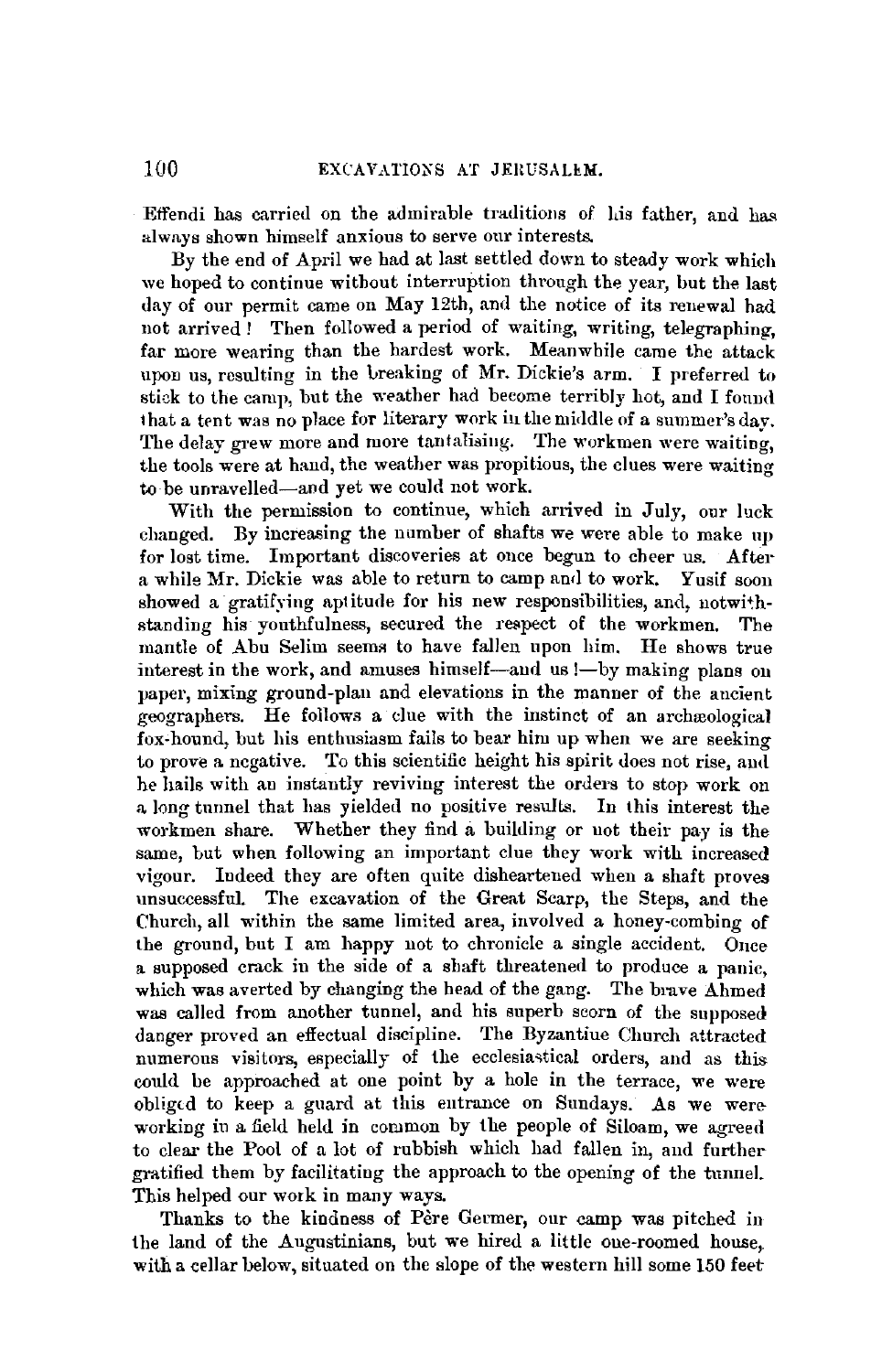Effendi has carried on the admirable traditions of his father, and has always shown himself anxious to serve our interests.

By the end of April we had at last settled down to steady work which we hoped to continue without interruption through the year, but the last day of our permit came on May 12th, and the notice of its renewal had not arrived ! Then followed a period of waiting, writing, telegraphing, far more wearing than the hardest work. Meanwhile came the attack upon us, resulting in the Lreaking of Mr. Dickie's arm. I preferred to stick to the camp, but the weather had become terribly hot, and I found that a tent was no place for literary work in the middle of a summer's day. The delay grew more and more tantalising. The workmen were waiting, the tools were at hand, the weather was propitious, the clues were waiting to be unravelled-and yet we could not work.

With the permission to continue, which arrived in July, our luck changed. By increasing the number of shafts we were able to make up for lost time. Important discoveries at once begun to cheer us. After a while Mr. Dickie was able to return to camp and to work. Yusif soon showed a gratifying aptitude for his new responsibilities, and, notwithstanding his youthfulness, secured the respect of the workmen. The mantle of Abu Selim seems to have fallen upon him. He shows true interest in the work, and amuses himself-and us !- by making plans on paper, mixing ground-plan and elevations in the manner of the ancient geographers. He follows a due with the instinct of an archreological fox-hound, but his enthusiasm fails to bear him up when we are seeking to prove a negative. To this scientific height his spirit does not rise, aud he hails with an instantly reviving interest the orders to stop work on a long tunnel that has yielded no positive results. In this interest the workmen share. Whether they find a building or not their pay is the same, but when following an important clue they work with increased vigour. Indeed they are often quite disheartened when a shaft proves unsuccessful. The excavation of the Great Scarp, the Steps, and the Church, all within the same limited area, involved a honey-combing of the ground, but I am happy not to chronicle a single accident. Once a supposed crack in the side of a shaft threatened to produce a panic, which was averted by changing the head of the gang. The brave Ahmed was called from another tunnel, and his superb scorn of the supposed danger proved an effectual discipline. The Byzantiue Church attracted numerous visitors, especially of the ecclesiastical orders, and as this could be approached at one point by a hole in the terrace, we were obligtd to keep a guard at this entrance on Sundays. As we were working in a field held in common by the people of Siloam, we agreed to clear the Pool of a lot of rubbish which had fallen in, and further gratified them by facilitating the approach to the opening of the tunnel. This helped our work in many ways.

Thanks to the kindness of Père Germer, our camp was pitched in the land of the Augustinians, but we hired a little one-roomed house,, with a cellar below, situated on the slope of the western hill some 150 feet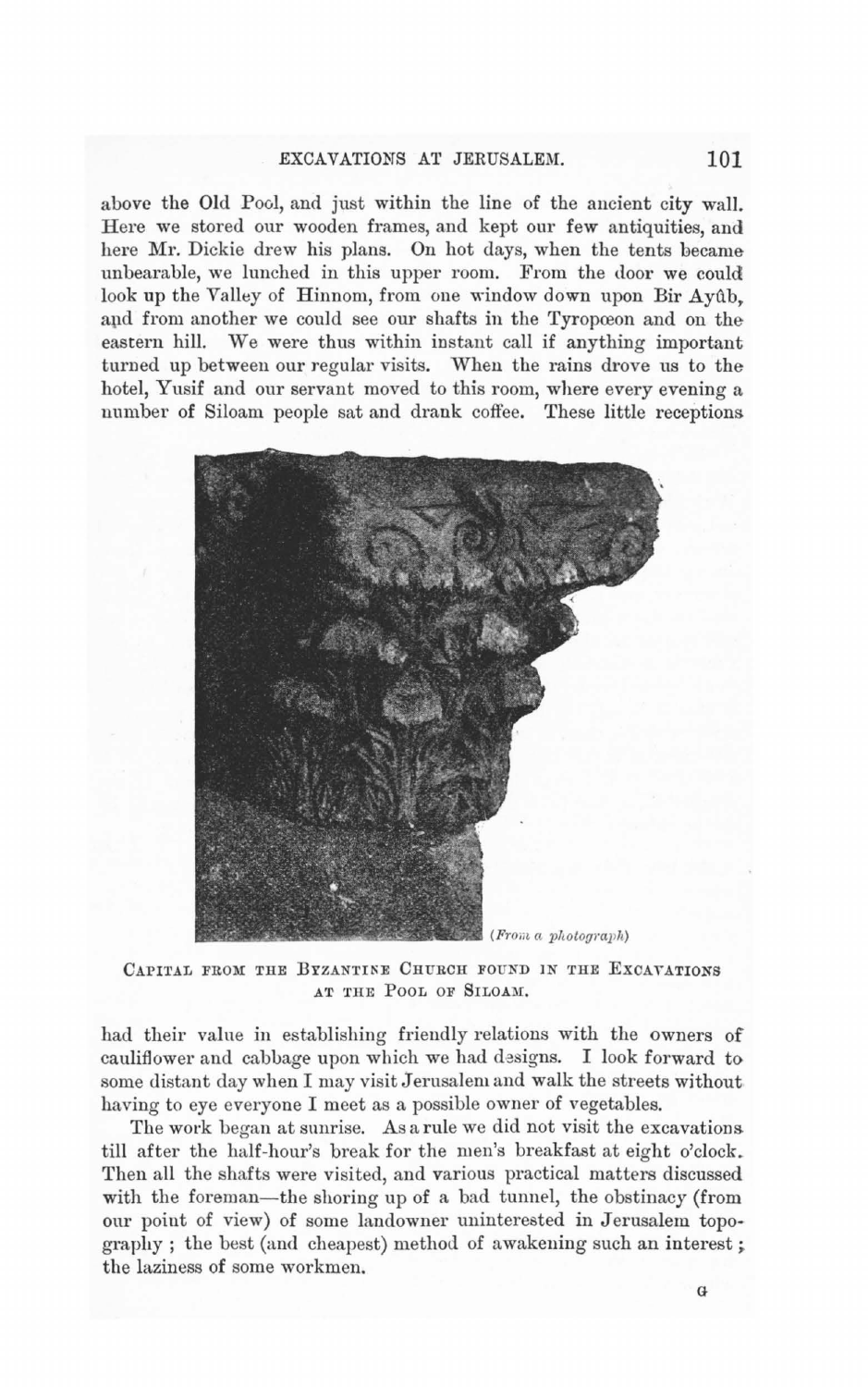## EXCAVATIONS AT JERUSALEM. **101**

above the Old Pool, and just within the line of the ancient city wall. Here we stored our wooden frames, and kept our few antiquities, and here Mr. Dickie drew his plans. On hot days, when the tents became unbearable, we lunched in this upper room. From the door we could look up the Valley of Hinnom, from one window down upon Bir Ayûb. and from another we could see our shafts in the Tyropceon and on the eastern hill. We were thus within instant call if anything important turned up between our regular visits. When the rains drove us to the hotel, Yusif and our servant moved to this room, where every evening a number of Siloam people sat and drank coffee. These little receptions



CAPITAL FROM THE BYZANTINE CHURCH FOUND IN THE EXCAVATIONS AT THE POOL OF SILOAM.

had their value in establishing friendly relations with the owners of cauliflower and cabbage upon which we had designs. I look forward to some distant day when I may visit Jerusalem and walk the streets without having to eye everyone I meet as a possible owner of vegetables.

The work began at sunrise. As a rule we did not visit the excavations till after the half-hour's break for the men's breakfast at eight o'clock. Then all the shafts were visited, and various practical matters discussed with the foreman-the shoring up of a bad tunnel, the obstinacy (from our point of view) of some landowner uninterested in Jerusalem topography ; the best (and cheapest) method of awakening such an interest; the laziness of some workmen.